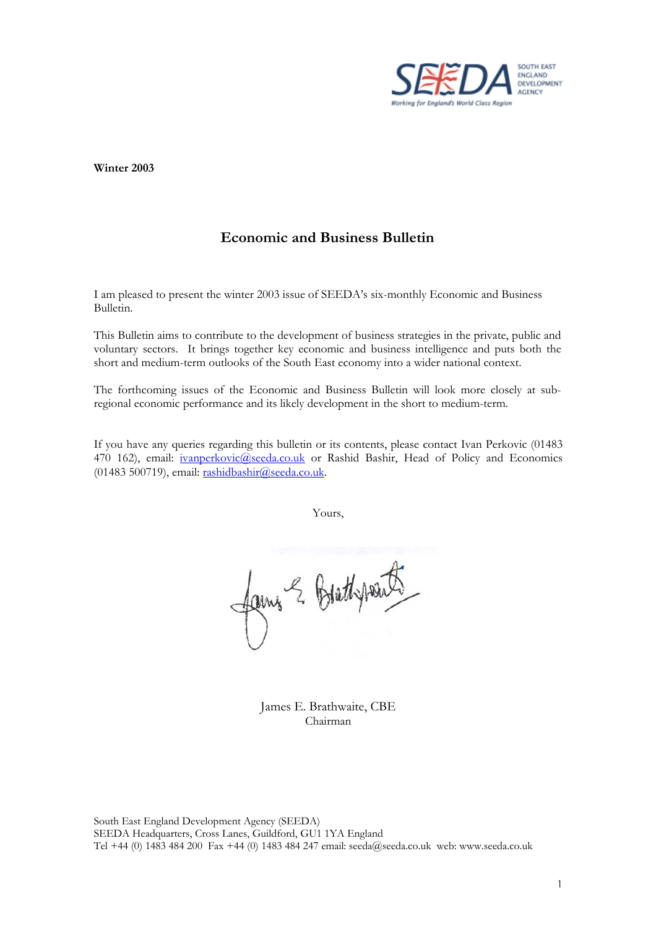

**Winter 2003** 

# **Economic and Business Bulletin**

I am pleased to present the winter 2003 issue of SEEDA's six-monthly Economic and Business Bulletin.

This Bulletin aims to contribute to the development of business strategies in the private, public and voluntary sectors. It brings together key economic and business intelligence and puts both the short and medium-term outlooks of the South East economy into a wider national context.

The forthcoming issues of the Economic and Business Bulletin will look more closely at subregional economic performance and its likely development in the short to medium-term.

If you have any queries regarding this bulletin or its contents, please contact Ivan Perkovic (01483 470 162), email: *ivanperkovic@seeda.co.uk* or Rashid Bashir, Head of Policy and Economics (01483 500719), email:  $rashidbashir@seeda.co.uk$ .

Yours,

faires & Brathpoints

James E. Brathwaite, CBE Chairman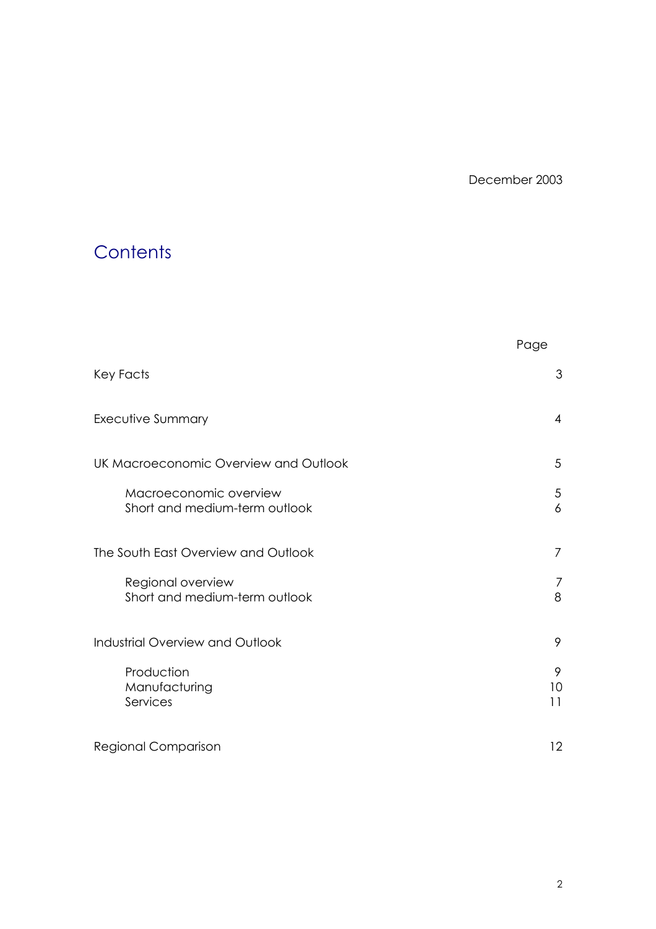December 2003

# **Contents**

|                                                         | Page           |
|---------------------------------------------------------|----------------|
| Key Facts                                               | 3              |
| Executive Summary                                       | $\overline{4}$ |
| UK Macroeconomic Overview and Outlook                   | 5              |
| Macroeconomic overview<br>Short and medium-term outlook | 5<br>6         |
| The South East Overview and Outlook                     | $\overline{7}$ |
| Regional overview<br>Short and medium-term outlook      | 7<br>8         |
| Industrial Overview and Outlook                         | 9              |
| Production<br>Manufacturing<br>Services                 | 9<br>10<br>11  |
| Regional Comparison                                     | 12             |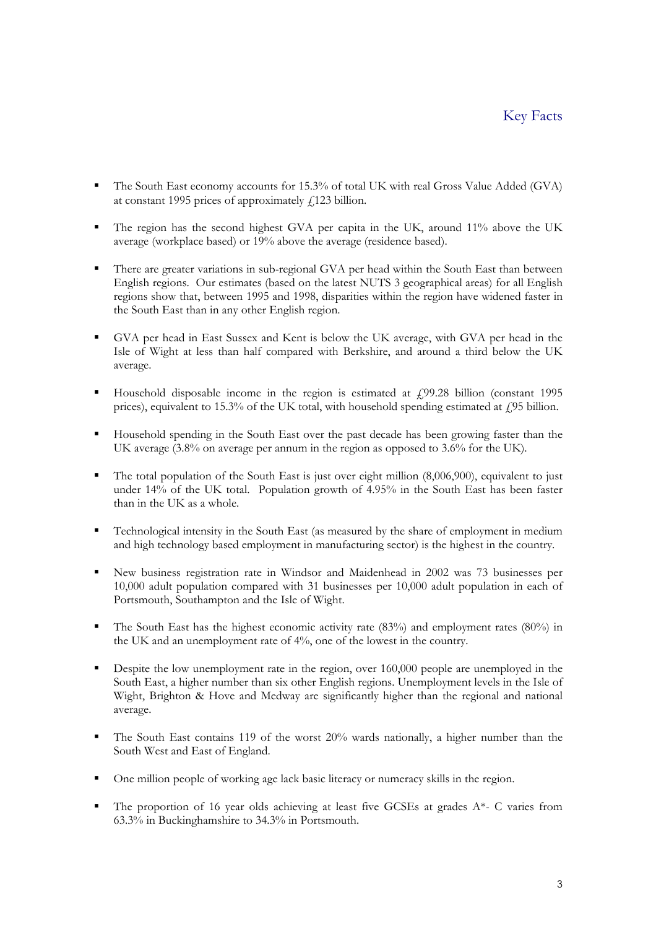- The South East economy accounts for 15.3% of total UK with real Gross Value Added (GVA) at constant 1995 prices of approximately  $\ell$ 123 billion.
- The region has the second highest GVA per capita in the UK, around 11% above the UK average (workplace based) or 19% above the average (residence based).
- There are greater variations in sub-regional GVA per head within the South East than between English regions. Our estimates (based on the latest NUTS 3 geographical areas) for all English regions show that, between 1995 and 1998, disparities within the region have widened faster in the South East than in any other English region.
- GVA per head in East Sussex and Kent is below the UK average, with GVA per head in the Isle of Wight at less than half compared with Berkshire, and around a third below the UK average.
- Household disposable income in the region is estimated at  $\mu$  499.28 billion (constant 1995 prices), equivalent to 15.3% of the UK total, with household spending estimated at  $\ell$ 95 billion.
- Household spending in the South East over the past decade has been growing faster than the UK average (3.8% on average per annum in the region as opposed to 3.6% for the UK).
- The total population of the South East is just over eight million (8,006,900), equivalent to just under 14% of the UK total. Population growth of 4.95% in the South East has been faster than in the UK as a whole.
- Technological intensity in the South East (as measured by the share of employment in medium and high technology based employment in manufacturing sector) is the highest in the country.
- New business registration rate in Windsor and Maidenhead in 2002 was 73 businesses per 10,000 adult population compared with 31 businesses per 10,000 adult population in each of Portsmouth, Southampton and the Isle of Wight.
- The South East has the highest economic activity rate  $(83\%)$  and employment rates  $(80\%)$  in the UK and an unemployment rate of 4%, one of the lowest in the country.
- Despite the low unemployment rate in the region, over 160,000 people are unemployed in the South East, a higher number than six other English regions. Unemployment levels in the Isle of Wight, Brighton & Hove and Medway are significantly higher than the regional and national average.
- The South East contains 119 of the worst 20% wards nationally, a higher number than the South West and East of England.
- One million people of working age lack basic literacy or numeracy skills in the region.
- The proportion of 16 year olds achieving at least five GCSEs at grades  $A^*$  C varies from 63.3% in Buckinghamshire to 34.3% in Portsmouth.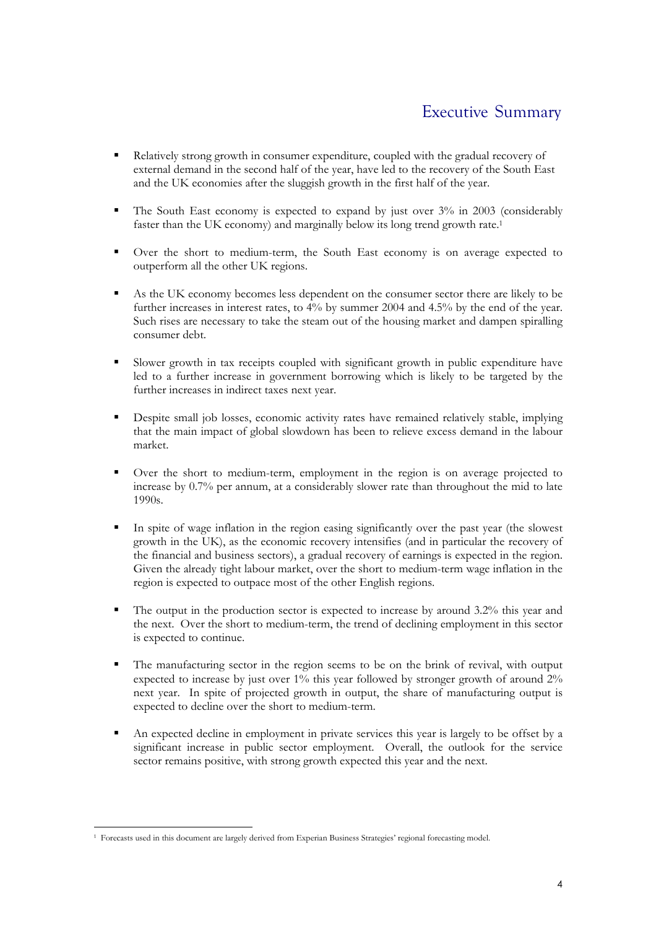- Relatively strong growth in consumer expenditure, coupled with the gradual recovery of external demand in the second half of the year, have led to the recovery of the South East and the UK economies after the sluggish growth in the first half of the year.
- The South East economy is expected to expand by just over 3% in 2003 (considerably faster than the UK economy) and marginally below its long trend growth rate.[1](#page-3-0)
- Over the short to medium-term, the South East economy is on average expected to outperform all the other UK regions.
- As the UK economy becomes less dependent on the consumer sector there are likely to be further increases in interest rates, to 4% by summer 2004 and 4.5% by the end of the year. Such rises are necessary to take the steam out of the housing market and dampen spiralling consumer debt.
- Slower growth in tax receipts coupled with significant growth in public expenditure have led to a further increase in government borrowing which is likely to be targeted by the further increases in indirect taxes next year.
- Despite small job losses, economic activity rates have remained relatively stable, implying that the main impact of global slowdown has been to relieve excess demand in the labour market.
- Over the short to medium-term, employment in the region is on average projected to increase by 0.7% per annum, at a considerably slower rate than throughout the mid to late 1990s.
- In spite of wage inflation in the region easing significantly over the past year (the slowest growth in the UK), as the economic recovery intensifies (and in particular the recovery of the financial and business sectors), a gradual recovery of earnings is expected in the region. Given the already tight labour market, over the short to medium-term wage inflation in the region is expected to outpace most of the other English regions.
- The output in the production sector is expected to increase by around 3.2% this year and the next. Over the short to medium-term, the trend of declining employment in this sector is expected to continue.
- The manufacturing sector in the region seems to be on the brink of revival, with output expected to increase by just over 1% this year followed by stronger growth of around 2% next year. In spite of projected growth in output, the share of manufacturing output is expected to decline over the short to medium-term.
- An expected decline in employment in private services this year is largely to be offset by a significant increase in public sector employment. Overall, the outlook for the service sector remains positive, with strong growth expected this year and the next.

<span id="page-3-0"></span> <sup>1</sup> Forecasts used in this document are largely derived from Experian Business Strategies' regional forecasting model.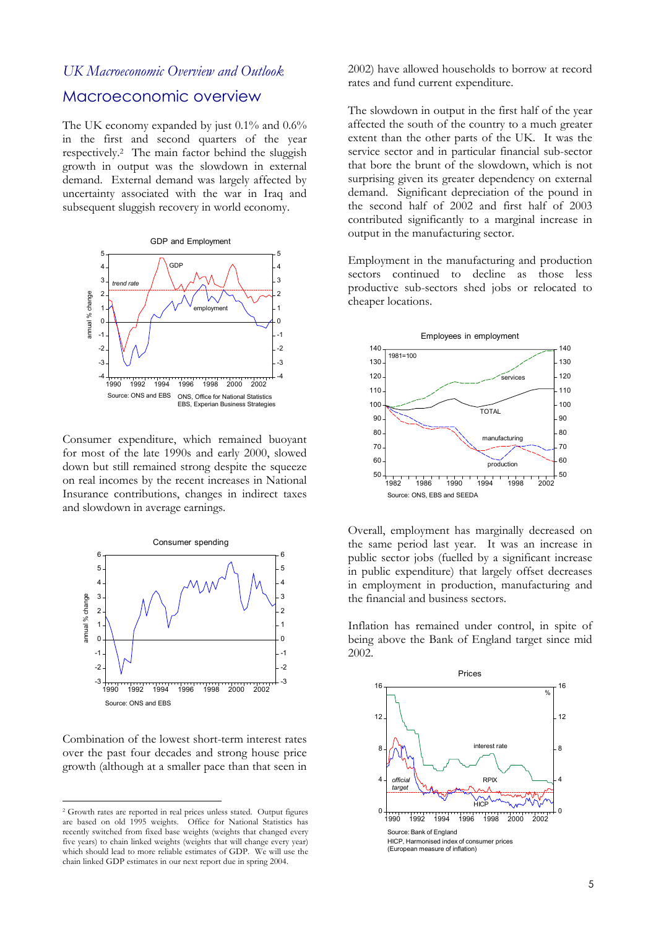#### *UK Macroeconomic Overview and Outlook*

#### Macroeconomic overview

The UK economy expanded by just 0.1% and 0.6% in the first and second quarters of the year respectively. [2](#page-4-0) The main factor behind the sluggish growth in output was the slowdown in external demand. External demand was largely affected by uncertainty associated with the war in Iraq and subsequent sluggish recovery in world economy.



Consumer expenditure, which remained buoyant for most of the late 1990s and early 2000, slowed down but still remained strong despite the squeeze on real incomes by the recent increases in National Insurance contributions, changes in indirect taxes and slowdown in average earnings.



Combination of the lowest short-term interest rates over the past four decades and strong house price growth (although at a smaller pace than that seen in

 $\overline{a}$ 

2002) have allowed households to borrow at record rates and fund current expenditure.

The slowdown in output in the first half of the year affected the south of the country to a much greater extent than the other parts of the UK. It was the service sector and in particular financial sub-sector that bore the brunt of the slowdown, which is not surprising given its greater dependency on external demand. Significant depreciation of the pound in the second half of 2002 and first half of 2003 contributed significantly to a marginal increase in output in the manufacturing sector.

Employment in the manufacturing and production sectors continued to decline as those less productive sub-sectors shed jobs or relocated to cheaper locations.



Overall, employment has marginally decreased on the same period last year. It was an increase in public sector jobs (fuelled by a significant increase in public expenditure) that largely offset decreases in employment in production, manufacturing and the financial and business sectors.

Inflation has remained under control, in spite of being above the Bank of England target since mid 2002.



<span id="page-4-0"></span><sup>2</sup> Growth rates are reported in real prices unless stated. Output figures are based on old 1995 weights. Office for National Statistics has recently switched from fixed base weights (weights that changed every five years) to chain linked weights (weights that will change every year) which should lead to more reliable estimates of GDP. We will use the chain linked GDP estimates in our next report due in spring 2004.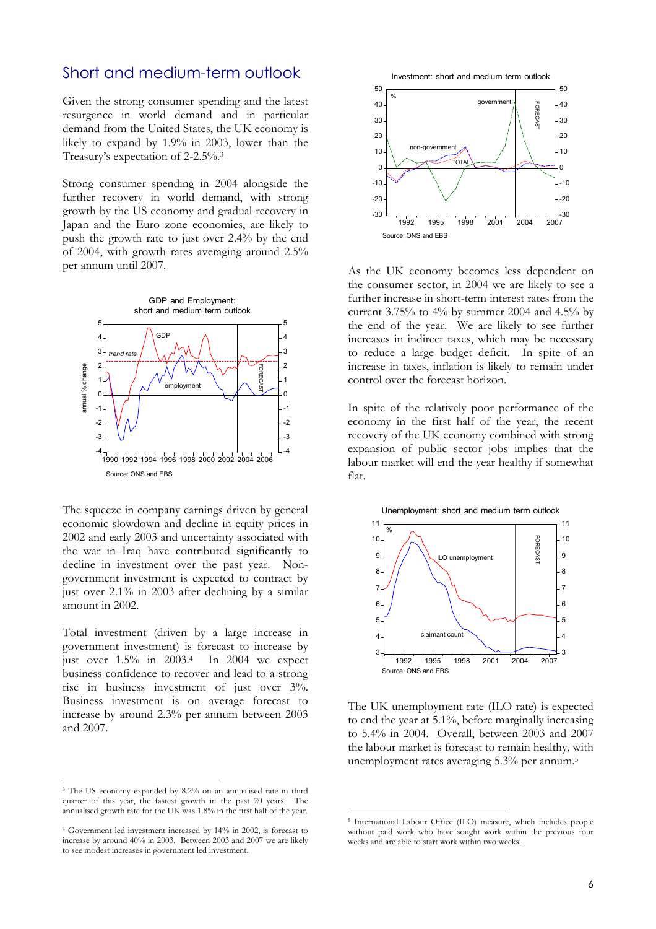## Short and medium-term outlook

Given the strong consumer spending and the latest resurgence in world demand and in particular demand from the United States, the UK economy is likely to expand by 1.9% in 2003, lower than the Treasury's expectation of 2-2.5%.[3](#page-5-0)

Strong consumer spending in 2004 alongside the further recovery in world demand, with strong growth by the US economy and gradual recovery in Japan and the Euro zone economies, are likely to push the growth rate to just over 2.4% by the end of 2004, with growth rates averaging around 2.5% per annum until 2007. As the UK economy becomes less dependent on



The squeeze in company earnings driven by general economic slowdown and decline in equity prices in 2002 and early 2003 and uncertainty associated with the war in Iraq have contributed significantly to decline in investment over the past year. Nongovernment investment is expected to contract by just over 2.1% in 2003 after declining by a similar amount in 2002.

Total investment (driven by a large increase in government investment) is forecast to increase by just over  $1.5\%$  in  $2003.4$  In  $2004$  we expect business confidence to recover and lead to a strong rise in business investment of just over 3%. Business investment is on average forecast to increase by around 2.3% per annum between 2003 and 2007.



the consumer sector, in 2004 we are likely to see a further increase in short-term interest rates from the current 3.75% to 4% by summer 2004 and 4.5% by the end of the year. We are likely to see further increases in indirect taxes, which may be necessary to reduce a large budget deficit. In spite of an increase in taxes, inflation is likely to remain under control over the forecast horizon.

In spite of the relatively poor performance of the economy in the first half of the year, the recent recovery of the UK economy combined with strong expansion of public sector jobs implies that the labour market will end the year healthy if somewhat flat.



<span id="page-5-2"></span>The UK unemployment rate (ILO rate) is expected to end the year at 5.1%, before marginally increasing to 5.4% in 2004. Overall, between 2003 and 2007 the labour market is forecast to remain healthy, with unemployment rates averaging 5.3% per annum.[5](#page-5-2)

<span id="page-5-0"></span> <sup>3</sup> The US economy expanded by 8.2% on an annualised rate in third quarter of this year, the fastest growth in the past 20 years. The

<span id="page-5-1"></span><sup>4</sup> Government led investment increased by 14% in 2002, is forecast to increase by around 40% in 2003. Between 2003 and 2007 we are likely to see modest increases in government led investment.

annualised growth rate for the UK was 1.8% in the first half of the year.<br>5 International Labour Office (ILO) measure, which includes people without paid work who have sought work within the previous four weeks and are able to start work within two weeks.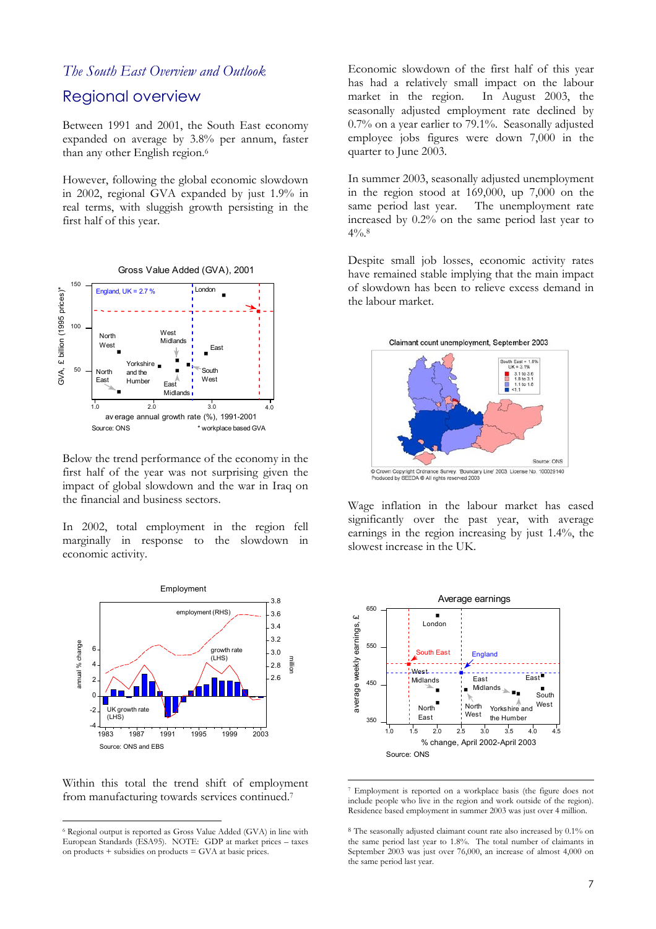#### Regional overview

Between 1991 and 2001, the South East economy expanded on average by 3.8% per annum, faster than any other English region.<sup>[6](#page-6-0)</sup>

However, following the global economic slowdown in 2002, regional GVA expanded by just 1.9% in real terms, with sluggish growth persisting in the first half of this year.



Below the trend performance of the economy in the first half of the year was not surprising given the impact of global slowdown and the war in Iraq on the financial and business sectors.

In 2002, total employment in the region fell marginally in response to the slowdown in economic activity.



Within this total the trend shift of employment from manufacturing towards services continued.[7](#page-6-1)

*The South East Overview and Outlook* **Economic** slowdown of the first half of this year has had a relatively small impact on the labour market in the region. In August 2003, the seasonally adjusted employment rate declined by 0.7% on a year earlier to 79.1%. Seasonally adjusted employee jobs figures were down 7,000 in the quarter to June 2003.

> In summer 2003, seasonally adjusted unemployment in the region stood at 169,000, up 7,000 on the same period last year. The unemployment rate increased by 0.2% on the same period last year to  $4\frac{0}{6}$ .8

> Despite small job losses, economic activity rates have remained stable implying that the main impact of slowdown has been to relieve excess demand in the labour market.



Wage inflation in the labour market has eased significantly over the past year, with average earnings in the region increasing by just 1.4%, the slowest increase in the UK.



<span id="page-6-1"></span> <sup>7</sup> Employment is reported on a workplace basis (the figure does not include people who live in the region and work outside of the region). Residence based employment in summer 2003 was just over 4 million.

<span id="page-6-0"></span> <sup>6</sup> Regional output is reported as Gross Value Added (GVA) in line with European Standards (ESA95). NOTE: GDP at market prices – taxes on products + subsidies on products = GVA at basic prices.

<span id="page-6-2"></span><sup>8</sup> The seasonally adjusted claimant count rate also increased by 0.1% on the same period last year to 1.8%. The total number of claimants in September 2003 was just over 76,000, an increase of almost 4,000 on the same period last year.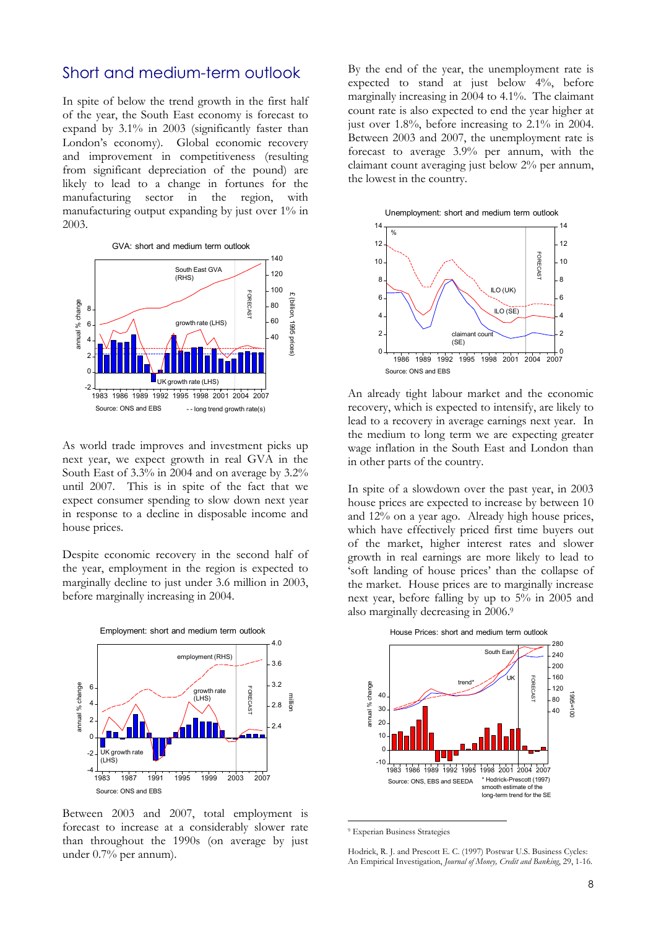### Short and medium-term outlook

In spite of below the trend growth in the first half of the year, the South East economy is forecast to expand by 3.1% in 2003 (significantly faster than London's economy). Global economic recovery and improvement in competitiveness (resulting from significant depreciation of the pound) are likely to lead to a change in fortunes for the manufacturing sector in the region, with manufacturing output expanding by just over 1% in 2003.



As world trade improves and investment picks up next year, we expect growth in real GVA in the South East of 3.3% in 2004 and on average by 3.2% until 2007. This is in spite of the fact that we expect consumer spending to slow down next year in response to a decline in disposable income and house prices.

Despite economic recovery in the second half of the year, employment in the region is expected to marginally decline to just under 3.6 million in 2003, before marginally increasing in 2004.



Between 2003 and 2007, total employment is forecast to increase at a considerably slower rate than throughout the 1990s (on average by just under 0.7% per annum).

By the end of the year, the unemployment rate is expected to stand at just below 4%, before marginally increasing in 2004 to 4.1%. The claimant count rate is also expected to end the year higher at just over 1.8%, before increasing to 2.1% in 2004. Between 2003 and 2007, the unemployment rate is forecast to average 3.9% per annum, with the claimant count averaging just below 2% per annum, the lowest in the country.



An already tight labour market and the economic recovery, which is expected to intensify, are likely to lead to a recovery in average earnings next year. In the medium to long term we are expecting greater wage inflation in the South East and London than in other parts of the country.

In spite of a slowdown over the past year, in 2003 house prices are expected to increase by between 10 and 12% on a year ago. Already high house prices, which have effectively priced first time buyers out of the market, higher interest rates and slower growth in real earnings are more likely to lead to 'soft landing of house prices' than the collapse of the market. House prices are to marginally increase next year, before falling by up to 5% in 2005 and also marginally decreasing in 2006.[9](#page-7-0)



<span id="page-7-0"></span> <sup>9</sup> Experian Business Strategies

Hodrick, R. J. and Prescott E. C. (1997) Postwar U.S. Business Cycles: An Empirical Investigation, *Journal of Money, Credit and Banking*, 29, 1-16.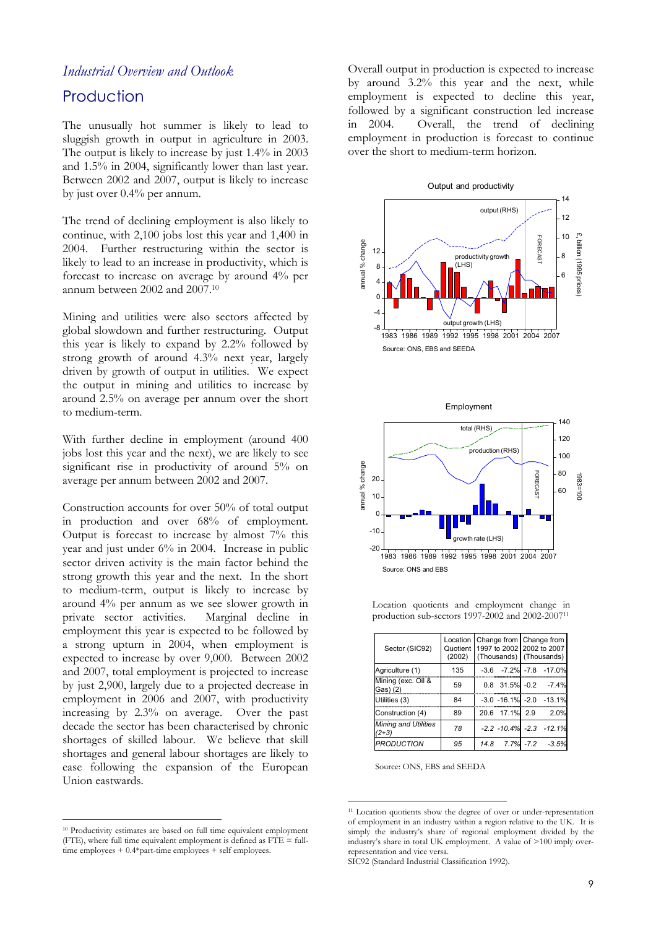# **Production**

The unusually hot summer is likely to lead to sluggish growth in output in agriculture in 2003. The output is likely to increase by just 1.4% in 2003 and 1.5% in 2004, significantly lower than last year. Between 2002 and 2007, output is likely to increase by just over 0.4% per annum.

The trend of declining employment is also likely to continue, with 2,100 jobs lost this year and 1,400 in 2004. Further restructuring within the sector is likely to lead to an increase in productivity, which is forecast to increase on average by around 4% per annum between 2002 and 2007.[10](#page-8-0)

Mining and utilities were also sectors affected by global slowdown and further restructuring. Output this year is likely to expand by 2.2% followed by strong growth of around 4.3% next year, largely driven by growth of output in utilities. We expect the output in mining and utilities to increase by around 2.5% on average per annum over the short to medium-term.

With further decline in employment (around 400 jobs lost this year and the next), we are likely to see significant rise in productivity of around 5% on average per annum between 2002 and 2007.

Construction accounts for over 50% of total output in production and over 68% of employment. Output is forecast to increase by almost 7% this year and just under 6% in 2004. Increase in public sector driven activity is the main factor behind the strong growth this year and the next. In the short to medium-term, output is likely to increase by around 4% per annum as we see slower growth in private sector activities. Marginal decline in employment this year is expected to be followed by a strong upturn in 2004, when employment is expected to increase by over 9,000. Between 2002 and 2007, total employment is projected to increase by just 2,900, largely due to a projected decrease in employment in 2006 and 2007, with productivity increasing by 2.3% on average. Over the past decade the sector has been characterised by chronic shortages of skilled labour. We believe that skill shortages and general labour shortages are likely to ease following the expansion of the European Union eastwards.

<span id="page-8-0"></span> 10 Productivity estimates are based on full time equivalent employment (FTE), where full time equivalent employment is defined as FTE = fulltime employees + 0.4\*part-time employees + self employees.

*Industrial Overview and Outlook* **Overall output in production is expected to increase** by around 3.2% this year and the next, while employment is expected to decline this year, followed by a significant construction led increase in 2004. Overall, the trend of declining employment in production is forecast to continue over the short to medium-term horizon.





| production sub-sectors 1997-2002 and 2002-2007 <sup>11</sup> |                                |                         |                                                      |  |
|--------------------------------------------------------------|--------------------------------|-------------------------|------------------------------------------------------|--|
| Sector (SIC92)                                               | Location<br>Quotient<br>(2002) | Change from Change from | 1997 to 2002 2002 to 2007<br>(Thousands) (Thousands) |  |
| Agriculture (1)                                              | 135                            |                         | $-3.6$ $-7.2\%$ $-7.8$ $-17.0\%$                     |  |
| Mining (exc. Oil &<br>Gas) (2)                               | 59                             |                         | $0.8$ 31.5% $-0.2$ $-7.4\%$                          |  |
| Utilities (3)                                                | 84                             |                         | $-3.0 - 16.1\% - 2.0 - 13.1\%$                       |  |
| Construction (4)                                             | 89                             | 20.6 17.1% 2.9          | 2.0%                                                 |  |
| <b>Mining and Utilities</b><br>$(2+3)$                       | 78                             |                         | $-2.2$ $-10.4\%$ $-2.3$ $-12.1\%$                    |  |

*PRODUCTION 95 14.8 7.7% -7.2 -3.5%*

Location quotients and employment change in

Source: ONS, EBS and SEEDA

<span id="page-8-1"></span><sup>&</sup>lt;sup>11</sup> Location quotients show the degree of over or under-representation of employment in an industry within a region relative to the UK. It is simply the industry's share of regional employment divided by the industry's share in total UK employment. A value of >100 imply overrepresentation and vice versa.

SIC92 (Standard Industrial Classification 1992).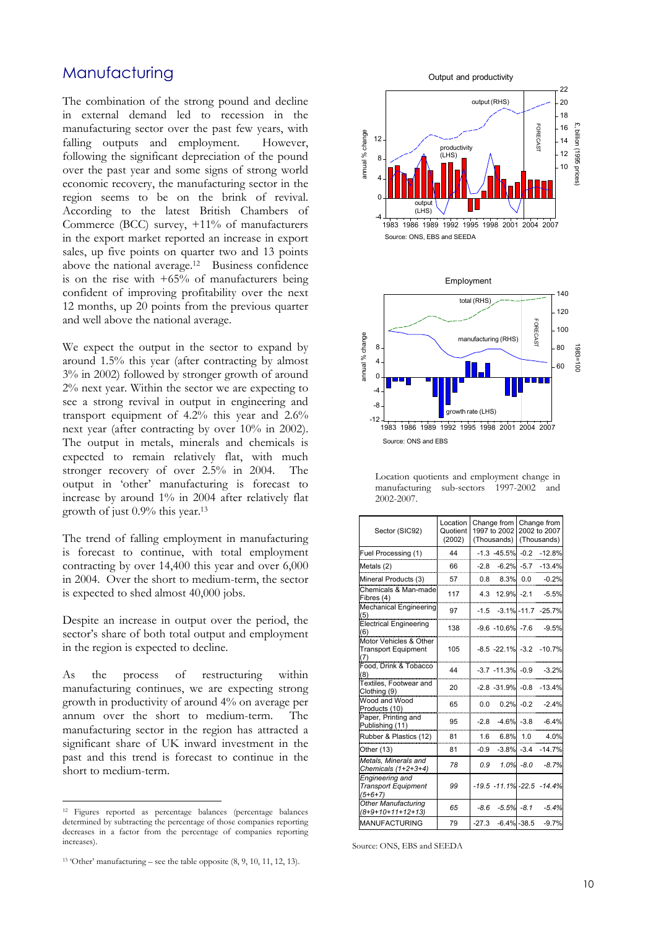### **Manufacturing**

The combination of the strong pound and decline in external demand led to recession in the manufacturing sector over the past few years, with falling outputs and employment. However, following the significant depreciation of the pound over the past year and some signs of strong world economic recovery, the manufacturing sector in the region seems to be on the brink of revival. According to the latest British Chambers of Commerce (BCC) survey, +11% of manufacturers in the export market reported an increase in export sales, up five points on quarter two and 13 points above the national average. [12](#page-9-0) Business confidence is on the rise with  $+65%$  of manufacturers being confident of improving profitability over the next 12 months, up 20 points from the previous quarter and well above the national average.

We expect the output in the sector to expand by around 1.5% this year (after contracting by almost 3% in 2002) followed by stronger growth of around 2% next year. Within the sector we are expecting to see a strong revival in output in engineering and transport equipment of 4.2% this year and 2.6% next year (after contracting by over 10% in 2002). The output in metals, minerals and chemicals is expected to remain relatively flat, with much stronger recovery of over 2.5% in 2004. The output in 'other' manufacturing is forecast to increase by around 1% in 2004 after relatively flat growth of just 0.9% this year.[13](#page-9-1)

The trend of falling employment in manufacturing is forecast to continue, with total employment contracting by over 14,400 this year and over 6,000 in 2004. Over the short to medium-term, the sector is expected to shed almost 40,000 jobs.

Despite an increase in output over the period, the sector's share of both total output and employment in the region is expected to decline.

As the process of restructuring within manufacturing continues, we are expecting strong growth in productivity of around 4% on average per annum over the short to medium-term. The manufacturing sector in the region has attracted a significant share of UK inward investment in the past and this trend is forecast to continue in the short to medium-term.



| Location quotients and employment change in |  |  |
|---------------------------------------------|--|--|
| manufacturing sub-sectors 1997-2002 and     |  |  |
| 2002-2007.                                  |  |  |

| Sector (SIC92)                                              | Location<br>Quotient<br>(2002) |         | Change from<br>1997 to 2002<br>(Thousands) |               | Change from<br>2002 to 2007<br>(Thousands) |
|-------------------------------------------------------------|--------------------------------|---------|--------------------------------------------|---------------|--------------------------------------------|
| Fuel Processing (1)                                         | 44                             |         | $-1.3 - 45.5%$                             | $-0.2$        | $-12.8%$                                   |
| Metals (2)                                                  | 66                             | $-2.8$  | $-6.2\% -5.7$                              |               | $-13.4%$                                   |
| Mineral Products (3)                                        | 57                             | 0.8     | 8.3%                                       | 0.0           | $-0.2%$                                    |
| Chemicals & Man-made<br>Fibres (4)                          | 117                            |         | 4.3 12.9% -2.1                             |               | $-5.5%$                                    |
| <b>Mechanical Engineering</b><br>(5)                        | 97                             |         | $-1.5 -3.1\% -11.7$                        |               | $-25.7%$                                   |
| <b>Electrical Engineering</b><br>(6)                        | 138                            |         | $-9.6 - 10.6\% - 7.6$                      |               | $-9.5%$                                    |
| Motor Vehicles & Other<br><b>Transport Equipment</b><br>(7) | 105                            |         | $-8.5 -22.1\% -3.2$                        |               | $-10.7%$                                   |
| Food, Drink & Tobacco<br>(8)                                | 44                             |         | $-3.7 - 11.3\% - 0.9$                      |               | $-3.2%$                                    |
| Textiles, Footwear and<br>Clothing (9)                      | 20                             |         | $-2.8 - 31.9\% - 0.8$                      |               | $-13.4%$                                   |
| Wood and Wood<br>Products (10)                              | 65                             | 0.0     | $0.2\% - 0.2$                              |               | $-2.4%$                                    |
| Paper, Printing and<br>Publishing (11)                      | 95                             | $-2.8$  | $-4.6%$                                    | $-3.8$        | $-6.4%$                                    |
| Rubber & Plastics (12)                                      | 81                             | 1.6     | 6.8%                                       | 1.0           | 4.0%                                       |
| Other (13)                                                  | 81                             | $-0.9$  | $-3.8\% -3.4$                              |               | $-14.7%$                                   |
| Metals, Minerals and<br>Chemicals (1+2+3+4)                 | 78                             | 0.9     |                                            | $1.0\% - 8.0$ | $-8.7%$                                    |
| Engineering and<br><b>Transport Equipment</b><br>$(5+6+7)$  | 99                             |         | $-19.5 - 11.1\% - 22.5$                    |               | $-14.4%$                                   |
| <b>Other Manufacturing</b><br>(8+9+10+11+12+13)             | 65                             | $-8.6$  | $-5.5\% -8.1$                              |               | $-5.4%$                                    |
| <b>MANUFACTURING</b>                                        | 79                             | $-27.3$ | $-6.4\% -38.5$                             |               | $-9.7%$                                    |

Source: ONS, EBS and SEEDA

<span id="page-9-0"></span> <sup>12</sup> Figures reported as percentage balances (percentage balances determined by subtracting the percentage of those companies reporting decreases in a factor from the percentage of companies reporting increases).

<span id="page-9-1"></span><sup>13 &#</sup>x27;Other' manufacturing – see the table opposite (8, 9, 10, 11, 12, 13).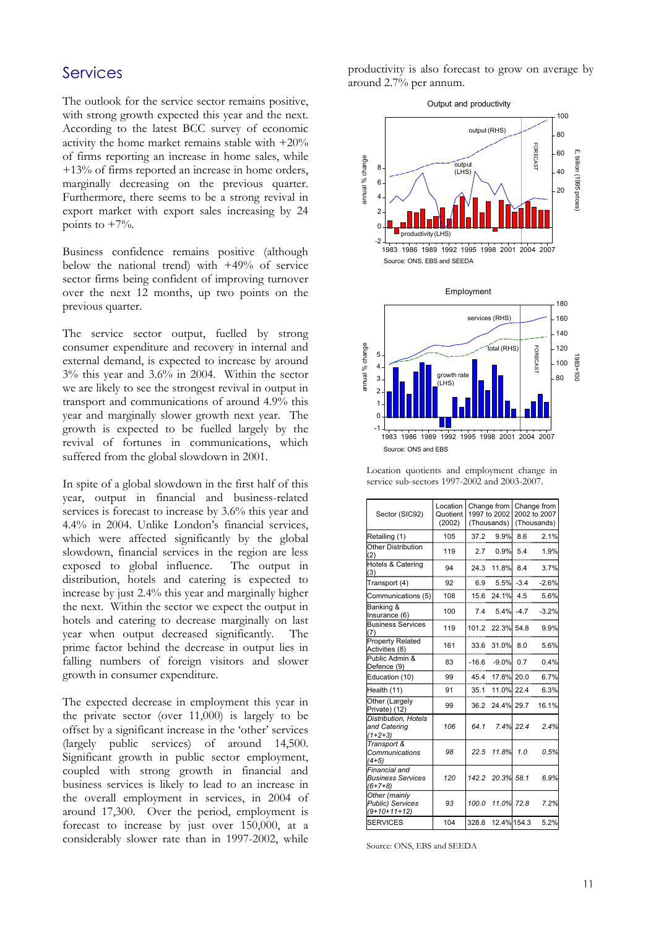# Services

The outlook for the service sector remains positive, with strong growth expected this year and the next. According to the latest BCC survey of economic activity the home market remains stable with +20% of firms reporting an increase in home sales, while +13% of firms reported an increase in home orders, marginally decreasing on the previous quarter. Furthermore, there seems to be a strong revival in export market with export sales increasing by 24 points to  $+7\%$ .

Business confidence remains positive (although below the national trend) with +49% of service sector firms being confident of improving turnover over the next 12 months, up two points on the previous quarter.

The service sector output, fuelled by strong consumer expenditure and recovery in internal and external demand, is expected to increase by around 3% this year and 3.6% in 2004. Within the sector we are likely to see the strongest revival in output in transport and communications of around 4.9% this year and marginally slower growth next year. The growth is expected to be fuelled largely by the revival of fortunes in communications, which suffered from the global slowdown in 2001.

In spite of a global slowdown in the first half of this year, output in financial and business-related services is forecast to increase by 3.6% this year and 4.4% in 2004. Unlike London's financial services, which were affected significantly by the global slowdown, financial services in the region are less exposed to global influence. The output in distribution, hotels and catering is expected to increase by just 2.4% this year and marginally higher the next. Within the sector we expect the output in hotels and catering to decrease marginally on last year when output decreased significantly. The prime factor behind the decrease in output lies in falling numbers of foreign visitors and slower growth in consumer expenditure.

The expected decrease in employment this year in the private sector (over 11,000) is largely to be offset by a significant increase in the 'other' services (largely public services) of around 14,500. Significant growth in public sector employment, coupled with strong growth in financial and business services is likely to lead to an increase in the overall employment in services, in 2004 of around 17,300. Over the period, employment is forecast to increase by just over 150,000, at a considerably slower rate than in 1997-2002, while productivity is also forecast to grow on average by around 2.7% per annum.



| Sector (SIC92)                                             | Location<br>Quotient<br>(2002) |       | Change from<br>1997 to 2002<br>(Thousands) |           | Change from<br>2002 to 2007<br>(Thousands) |
|------------------------------------------------------------|--------------------------------|-------|--------------------------------------------|-----------|--------------------------------------------|
| Retailing (1)                                              | 105                            |       | 37.2 9.9%                                  | 8.6       | 2.1%                                       |
| Other Distribution<br>(2)                                  | 119                            |       | 2.7 0.9%                                   | 5.4       | 1.9%                                       |
| Hotels & Catering<br>(3)                                   | 94                             |       | 24.3 11.8%                                 | 8.4       | 3.7%                                       |
| Transport (4)                                              | 92                             |       | $6.9$ $5.5\%$ $-3.4$                       |           | $-2.6%$                                    |
| Communications (5)                                         | 108                            |       | 15.6 24.1% 4.5                             |           | 5.6%                                       |
| Banking &<br>Insurance (6)                                 | 100                            |       | $7.4$ $5.4\%$ -4.7                         |           | $-3.2%$                                    |
| <b>Business Services</b><br>(7)                            | 119                            |       | 101.2 22.3% 54.8                           |           | 9.9%                                       |
| <b>Property Related</b><br>Activities (8)                  | 161                            |       | 33.6 31.0%                                 | 8.0       | 5.6%                                       |
| Public Admin &<br>Defence (9)                              | 83                             |       | $-16.6 - 9.0\%$                            | 0.7       | 0.4%                                       |
| Education (10)                                             | 99                             | 45.4  | 17.8% 20.0                                 |           | 6.7%                                       |
| Health (11)                                                | 91                             |       | 35.1 11.0% 22.4                            |           | 6.3%                                       |
| Other (Largely<br>Private) (12)                            | 99                             |       | 36.2 24.4% 29.7                            |           | 16.1%                                      |
| <b>Distribution, Hotels</b><br>and Catering<br>$(1+2+3)$   | 106                            | 64.1  |                                            | 7.4% 22.4 | 2.4%                                       |
| Transport &<br>Communications<br>$(4+5)$                   | 98                             | 22.5  | 11.8%                                      | 1.0       | 0.5%                                       |
| Financial and<br><b>Business Services</b><br>$(6+7+8)$     | 120                            |       | 142.2 20.3% 58.1                           |           | 6.9%                                       |
| Other (mainly<br><b>Public) Services</b><br>$(9+10+11+12)$ | 93                             |       | 100.0 11.0% 72.8                           |           | 7.2%                                       |
| <b>SERVICES</b>                                            | 104                            | 328.8 | 12.4% 154.3                                |           | 5.2%                                       |

Location quotients and employment change in service sub-sectors 1997-2002 and 2003-2007.

Source: ONS, EBS and SEEDA